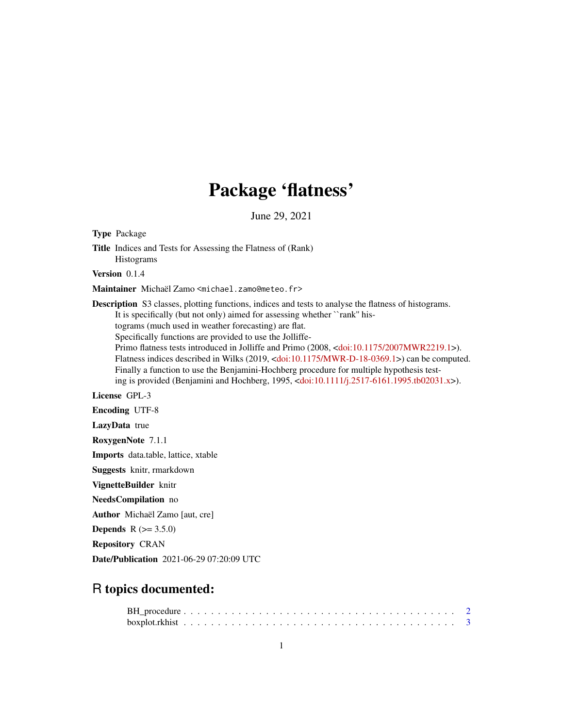# Package 'flatness'

June 29, 2021

Title Indices and Tests for Assessing the Flatness of (Rank) Histograms Version 0.1.4 Maintainer Michaël Zamo <michael.zamo@meteo.fr> Description S3 classes, plotting functions, indices and tests to analyse the flatness of histograms. It is specifically (but not only) aimed for assessing whether ``rank'' histograms (much used in weather forecasting) are flat. Specifically functions are provided to use the Jolliffe-Primo flatness tests introduced in Jolliffe and Primo (2008, [<doi:10.1175/2007MWR2219.1>](https://doi.org/10.1175/2007MWR2219.1)). Flatness indices described in Wilks (2019, [<doi:10.1175/MWR-D-18-0369.1>](https://doi.org/10.1175/MWR-D-18-0369.1)) can be computed. Finally a function to use the Benjamini-Hochberg procedure for multiple hypothesis testing is provided (Benjamini and Hochberg, 1995, [<doi:10.1111/j.2517-6161.1995.tb02031.x>](https://doi.org/10.1111/j.2517-6161.1995.tb02031.x)). License GPL-3 Encoding UTF-8 LazyData true RoxygenNote 7.1.1 Imports data.table, lattice, xtable Suggests knitr, rmarkdown VignetteBuilder knitr NeedsCompilation no Author Michaël Zamo [aut, cre] **Depends**  $R (= 3.5.0)$ Repository CRAN

Date/Publication 2021-06-29 07:20:09 UTC

# R topics documented:

Type Package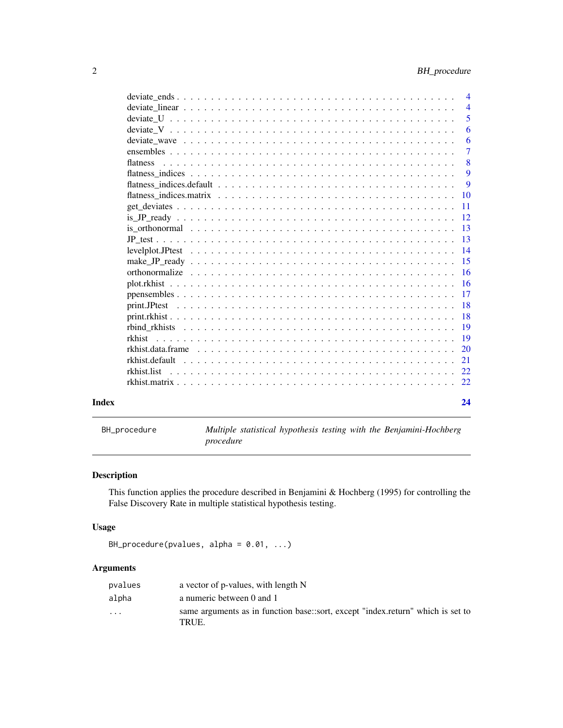<span id="page-1-0"></span>

|       |             | $\overline{4}$<br>5 |
|-------|-------------|---------------------|
|       |             | 6                   |
|       |             | 6                   |
|       |             | $\overline{7}$      |
|       |             |                     |
|       |             | 8<br>9              |
|       |             |                     |
|       |             | 9                   |
|       |             |                     |
|       |             | $\overline{11}$     |
|       |             | <sup>12</sup>       |
|       |             |                     |
|       |             | -13                 |
|       |             |                     |
|       |             |                     |
|       |             |                     |
|       |             |                     |
|       |             |                     |
|       |             |                     |
|       |             | -18                 |
|       |             | -19                 |
|       | rkhist      |                     |
|       |             |                     |
|       |             |                     |
|       | rkhist.list |                     |
|       |             |                     |
| Index |             | 24                  |

BH\_procedure *Multiple statistical hypothesis testing with the Benjamini-Hochberg procedure*

# Description

This function applies the procedure described in Benjamini & Hochberg (1995) for controlling the False Discovery Rate in multiple statistical hypothesis testing.

# Usage

```
BH_procedure(pvalues, alpha = 0.01, ...)
```
# Arguments

| pvalues                 | a vector of p-values, with length N                                                      |
|-------------------------|------------------------------------------------------------------------------------------|
| alpha                   | a numeric between 0 and 1                                                                |
| $\cdot$ $\cdot$ $\cdot$ | same arguments as in function base::sort, except "index.return" which is set to<br>TRUE. |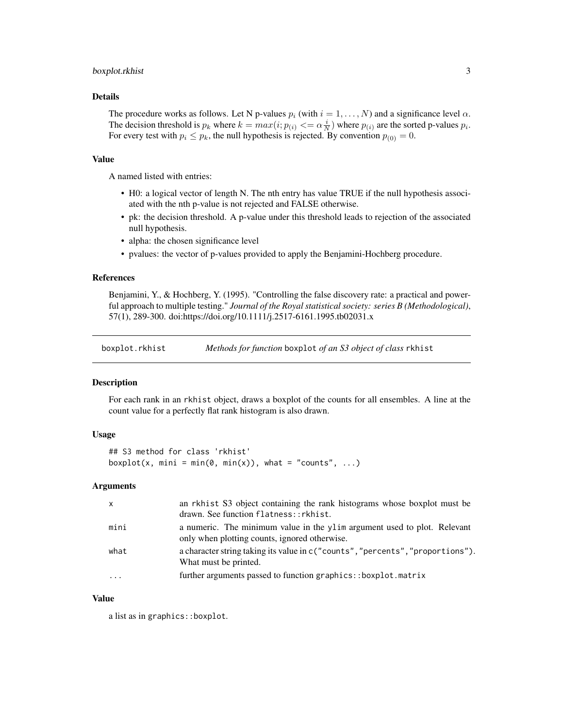# <span id="page-2-0"></span>boxplot.rkhist 3

# Details

The procedure works as follows. Let N p-values  $p_i$  (with  $i = 1, \ldots, N$ ) and a significance level  $\alpha$ . The decision threshold is  $p_k$  where  $k = max(i; p_{(i)} \leq \alpha \frac{i}{N})$  where  $p_{(i)}$  are the sorted p-values  $p_i$ . For every test with  $p_i \leq p_k$ , the null hypothesis is rejected. By convention  $p_{(0)} = 0$ .

#### Value

A named listed with entries:

- H0: a logical vector of length N. The nth entry has value TRUE if the null hypothesis associated with the nth p-value is not rejected and FALSE otherwise.
- pk: the decision threshold. A p-value under this threshold leads to rejection of the associated null hypothesis.
- alpha: the chosen significance level
- pvalues: the vector of p-values provided to apply the Benjamini-Hochberg procedure.

# References

Benjamini, Y., & Hochberg, Y. (1995). "Controlling the false discovery rate: a practical and powerful approach to multiple testing." *Journal of the Royal statistical society: series B (Methodological)*, 57(1), 289-300. doi:https://doi.org/10.1111/j.2517-6161.1995.tb02031.x

boxplot.rkhist *Methods for function* boxplot *of an S3 object of class* rkhist

#### Description

For each rank in an rkhist object, draws a boxplot of the counts for all ensembles. A line at the count value for a perfectly flat rank histogram is also drawn.

#### Usage

```
## S3 method for class 'rkhist'
boxplot(x, mini = min(0, min(x)), what = "counts", ...)
```
#### **Arguments**

| $\mathsf{x}$ | an rkhist S3 object containing the rank histograms whose boxplot must be                                                   |
|--------------|----------------------------------------------------------------------------------------------------------------------------|
|              | drawn. See function flatness:: rkhist.                                                                                     |
| mini         | a numeric. The minimum value in the yllum argument used to plot. Relevant<br>only when plotting counts, ignored otherwise. |
| what         | a character string taking its value in c("counts", "percents", "proportions").<br>What must be printed.                    |
| $\ddotsc$    | further arguments passed to function graphics::boxplot.matrix                                                              |

#### Value

a list as in graphics::boxplot.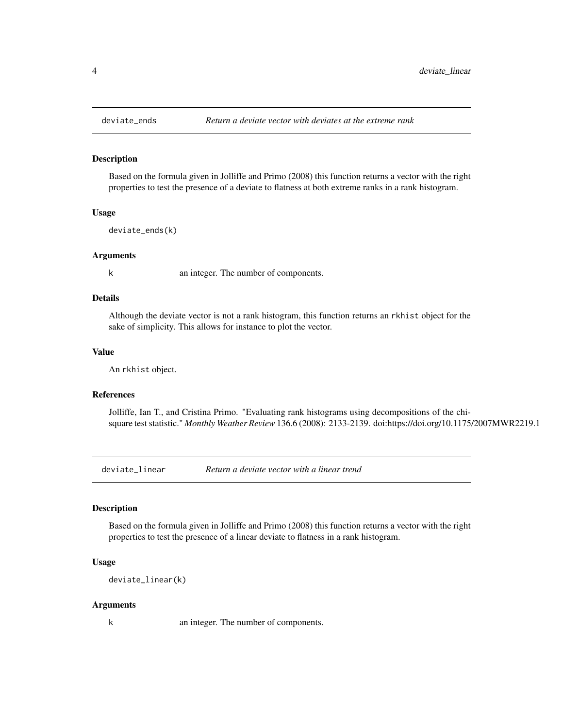Based on the formula given in Jolliffe and Primo (2008) this function returns a vector with the right properties to test the presence of a deviate to flatness at both extreme ranks in a rank histogram.

#### Usage

deviate\_ends(k)

#### Arguments

k an integer. The number of components.

# Details

Although the deviate vector is not a rank histogram, this function returns an rkhist object for the sake of simplicity. This allows for instance to plot the vector.

#### Value

An rkhist object.

### References

Jolliffe, Ian T., and Cristina Primo. "Evaluating rank histograms using decompositions of the chisquare test statistic." *Monthly Weather Review* 136.6 (2008): 2133-2139. doi:https://doi.org/10.1175/2007MWR2219.1

deviate\_linear *Return a deviate vector with a linear trend*

### Description

Based on the formula given in Jolliffe and Primo (2008) this function returns a vector with the right properties to test the presence of a linear deviate to flatness in a rank histogram.

#### Usage

deviate\_linear(k)

#### Arguments

k an integer. The number of components.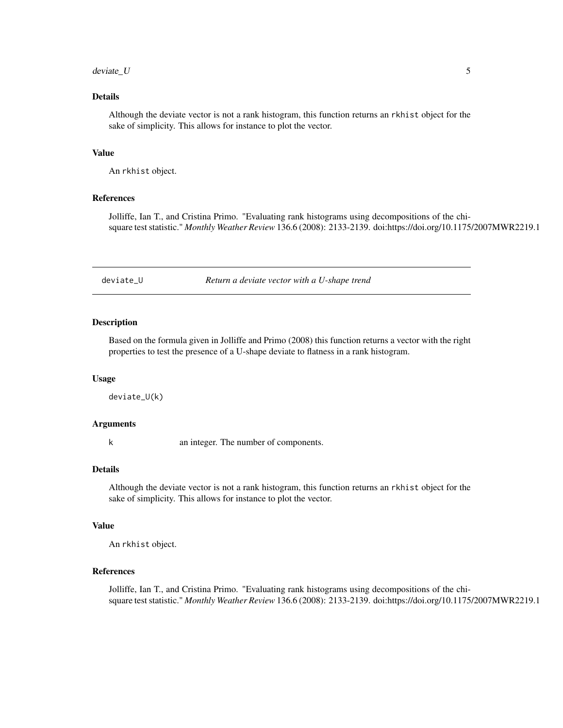#### <span id="page-4-0"></span> $deviate_U$  5

# Details

Although the deviate vector is not a rank histogram, this function returns an rkhist object for the sake of simplicity. This allows for instance to plot the vector.

#### Value

An rkhist object.

#### References

Jolliffe, Ian T., and Cristina Primo. "Evaluating rank histograms using decompositions of the chisquare test statistic." *Monthly Weather Review* 136.6 (2008): 2133-2139. doi:https://doi.org/10.1175/2007MWR2219.1

deviate\_U *Return a deviate vector with a U-shape trend*

#### Description

Based on the formula given in Jolliffe and Primo (2008) this function returns a vector with the right properties to test the presence of a U-shape deviate to flatness in a rank histogram.

# Usage

deviate\_U(k)

#### Arguments

k an integer. The number of components.

# Details

Although the deviate vector is not a rank histogram, this function returns an rkhist object for the sake of simplicity. This allows for instance to plot the vector.

# Value

An rkhist object.

# References

Jolliffe, Ian T., and Cristina Primo. "Evaluating rank histograms using decompositions of the chisquare test statistic." *Monthly Weather Review* 136.6 (2008): 2133-2139. doi:https://doi.org/10.1175/2007MWR2219.1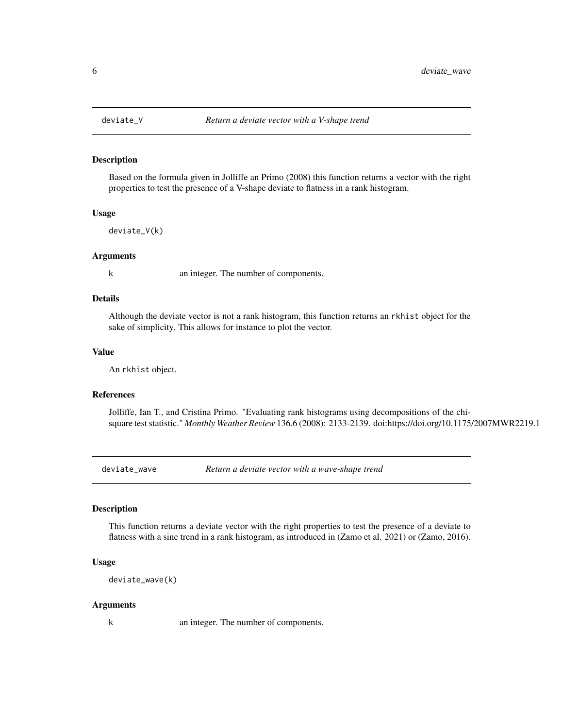<span id="page-5-0"></span>

Based on the formula given in Jolliffe an Primo (2008) this function returns a vector with the right properties to test the presence of a V-shape deviate to flatness in a rank histogram.

#### Usage

deviate\_V(k)

#### Arguments

k an integer. The number of components.

# Details

Although the deviate vector is not a rank histogram, this function returns an rkhist object for the sake of simplicity. This allows for instance to plot the vector.

#### Value

An rkhist object.

# References

Jolliffe, Ian T., and Cristina Primo. "Evaluating rank histograms using decompositions of the chisquare test statistic." *Monthly Weather Review* 136.6 (2008): 2133-2139. doi:https://doi.org/10.1175/2007MWR2219.1

deviate\_wave *Return a deviate vector with a wave-shape trend*

### **Description**

This function returns a deviate vector with the right properties to test the presence of a deviate to flatness with a sine trend in a rank histogram, as introduced in (Zamo et al. 2021) or (Zamo, 2016).

#### Usage

```
deviate_wave(k)
```
#### Arguments

k an integer. The number of components.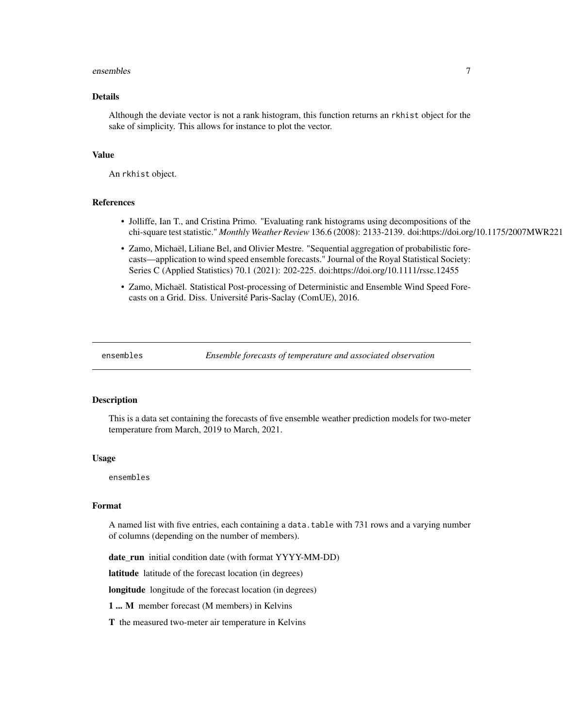#### <span id="page-6-0"></span>ensembles **7**

# Details

Although the deviate vector is not a rank histogram, this function returns an rkhist object for the sake of simplicity. This allows for instance to plot the vector.

#### Value

An rkhist object.

# References

- Jolliffe, Ian T., and Cristina Primo. "Evaluating rank histograms using decompositions of the chi-square test statistic." *Monthly Weather Review* 136.6 (2008): 2133-2139. doi:https://doi.org/10.1175/2007MWR2219.1
- Zamo, Michaël, Liliane Bel, and Olivier Mestre. "Sequential aggregation of probabilistic forecasts—application to wind speed ensemble forecasts." Journal of the Royal Statistical Society: Series C (Applied Statistics) 70.1 (2021): 202-225. doi:https://doi.org/10.1111/rssc.12455
- Zamo, Michaël. Statistical Post-processing of Deterministic and Ensemble Wind Speed Forecasts on a Grid. Diss. Université Paris-Saclay (ComUE), 2016.

ensembles *Ensemble forecasts of temperature and associated observation*

#### Description

This is a data set containing the forecasts of five ensemble weather prediction models for two-meter temperature from March, 2019 to March, 2021.

#### Usage

ensembles

#### Format

A named list with five entries, each containing a data.table with 731 rows and a varying number of columns (depending on the number of members).

date\_run initial condition date (with format YYYY-MM-DD)

latitude latitude of the forecast location (in degrees)

longitude longitude of the forecast location (in degrees)

1 ... M member forecast (M members) in Kelvins

T the measured two-meter air temperature in Kelvins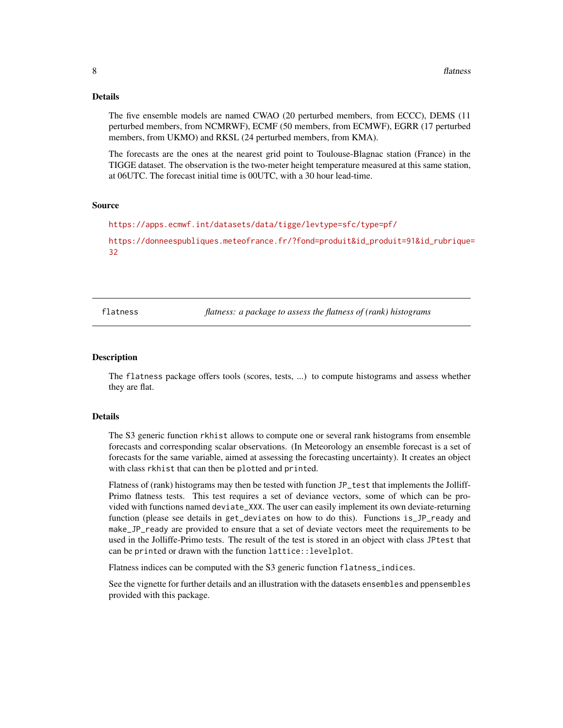#### <span id="page-7-0"></span>Details

The five ensemble models are named CWAO (20 perturbed members, from ECCC), DEMS (11 perturbed members, from NCMRWF), ECMF (50 members, from ECMWF), EGRR (17 perturbed members, from UKMO) and RKSL (24 perturbed members, from KMA).

The forecasts are the ones at the nearest grid point to Toulouse-Blagnac station (France) in the TIGGE dataset. The observation is the two-meter height temperature measured at this same station, at 06UTC. The forecast initial time is 00UTC, with a 30 hour lead-time.

#### Source

<https://apps.ecmwf.int/datasets/data/tigge/levtype=sfc/type=pf/>

[https://donneespubliques.meteofrance.fr/?fond=produit&id\\_produit=91&id\\_rubrique=](https://donneespubliques.meteofrance.fr/?fond=produit&id_produit=91&id_rubrique=32) [32](https://donneespubliques.meteofrance.fr/?fond=produit&id_produit=91&id_rubrique=32)

flatness *flatness: a package to assess the flatness of (rank) histograms*

#### Description

The flatness package offers tools (scores, tests, ...) to compute histograms and assess whether they are flat.

#### Details

The S3 generic function rkhist allows to compute one or several rank histograms from ensemble forecasts and corresponding scalar observations. (In Meteorology an ensemble forecast is a set of forecasts for the same variable, aimed at assessing the forecasting uncertainty). It creates an object with class rkhist that can then be plotted and printed.

Flatness of (rank) histograms may then be tested with function JP\_test that implements the Jolliff-Primo flatness tests. This test requires a set of deviance vectors, some of which can be provided with functions named deviate\_XXX. The user can easily implement its own deviate-returning function (please see details in get\_deviates on how to do this). Functions is\_JP\_ready and make\_JP\_ready are provided to ensure that a set of deviate vectors meet the requirements to be used in the Jolliffe-Primo tests. The result of the test is stored in an object with class JPtest that can be printed or drawn with the function lattice::levelplot.

Flatness indices can be computed with the S3 generic function flatness\_indices.

See the vignette for further details and an illustration with the datasets ensembles and ppensembles provided with this package.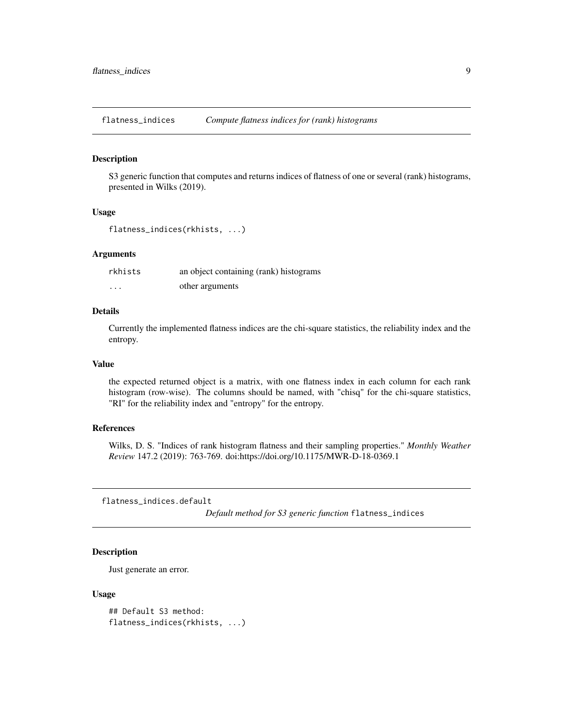<span id="page-8-0"></span>flatness\_indices *Compute flatness indices for (rank) histograms*

#### Description

S3 generic function that computes and returns indices of flatness of one or several (rank) histograms, presented in Wilks (2019).

# Usage

```
flatness_indices(rkhists, ...)
```
#### Arguments

| rkhists | an object containing (rank) histograms |
|---------|----------------------------------------|
| $\cdot$ | other arguments                        |

#### Details

Currently the implemented flatness indices are the chi-square statistics, the reliability index and the entropy.

# Value

the expected returned object is a matrix, with one flatness index in each column for each rank histogram (row-wise). The columns should be named, with "chisq" for the chi-square statistics, "RI" for the reliability index and "entropy" for the entropy.

# References

Wilks, D. S. "Indices of rank histogram flatness and their sampling properties." *Monthly Weather Review* 147.2 (2019): 763-769. doi:https://doi.org/10.1175/MWR-D-18-0369.1

flatness\_indices.default

*Default method for S3 generic function* flatness\_indices

# Description

Just generate an error.

#### Usage

```
## Default S3 method:
flatness_indices(rkhists, ...)
```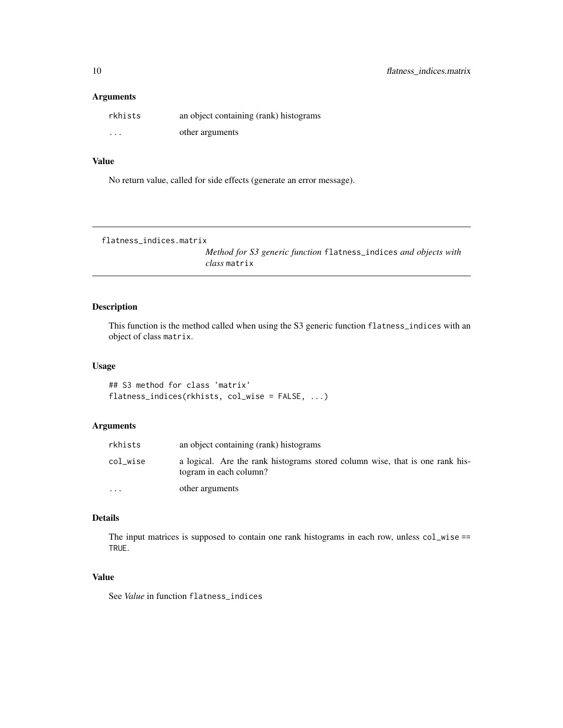# <span id="page-9-0"></span>Arguments

| rkhists                 | an object containing (rank) histograms |
|-------------------------|----------------------------------------|
| $\cdot$ $\cdot$ $\cdot$ | other arguments                        |

# Value

No return value, called for side effects (generate an error message).

```
flatness_indices.matrix
```
*Method for S3 generic function* flatness\_indices *and objects with class* matrix

# Description

This function is the method called when using the S3 generic function flatness\_indices with an object of class matrix.

#### Usage

```
## S3 method for class 'matrix'
flatness_indices(rkhists, col_wise = FALSE, ...)
```
# Arguments

| rkhists   | an object containing (rank) histograms                                                                 |
|-----------|--------------------------------------------------------------------------------------------------------|
| col wise  | a logical. Are the rank histograms stored column wise, that is one rank his-<br>togram in each column? |
| $\ddotsc$ | other arguments                                                                                        |

# Details

The input matrices is supposed to contain one rank histograms in each row, unless col\_wise == TRUE.

### Value

See *Value* in function flatness\_indices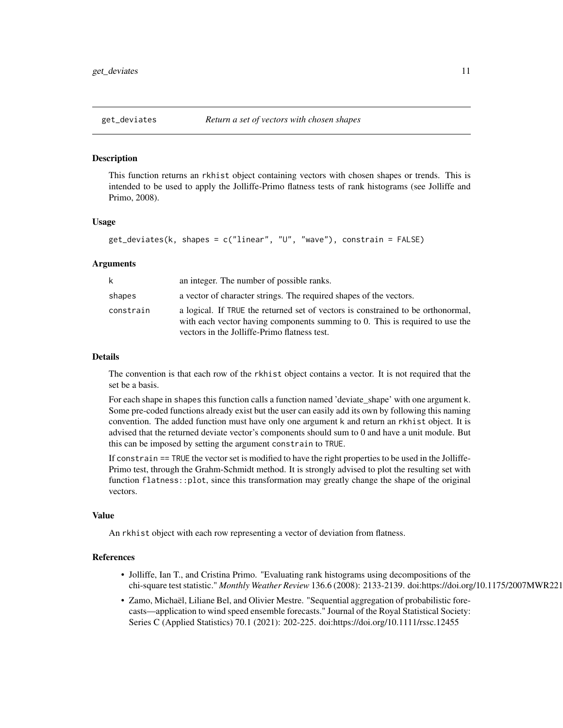<span id="page-10-0"></span>

This function returns an rkhist object containing vectors with chosen shapes or trends. This is intended to be used to apply the Jolliffe-Primo flatness tests of rank histograms (see Jolliffe and Primo, 2008).

# Usage

```
get_deviates(k, shapes = c("linear", "U", "wave"), constrain = FALSE)
```
#### Arguments

| k         | an integer. The number of possible ranks.                                                                                                                                                                        |
|-----------|------------------------------------------------------------------------------------------------------------------------------------------------------------------------------------------------------------------|
| shapes    | a vector of character strings. The required shapes of the vectors.                                                                                                                                               |
| constrain | a logical. If TRUE the returned set of vectors is constrained to be orthonormal,<br>with each vector having components summing to 0. This is required to use the<br>vectors in the Jolliffe-Primo flatness test. |

#### Details

The convention is that each row of the rkhist object contains a vector. It is not required that the set be a basis.

For each shape in shapes this function calls a function named 'deviate\_shape' with one argument k. Some pre-coded functions already exist but the user can easily add its own by following this naming convention. The added function must have only one argument k and return an rkhist object. It is advised that the returned deviate vector's components should sum to 0 and have a unit module. But this can be imposed by setting the argument constrain to TRUE.

If constrain == TRUE the vector set is modified to have the right properties to be used in the Jolliffe-Primo test, through the Grahm-Schmidt method. It is strongly advised to plot the resulting set with function flatness::plot, since this transformation may greatly change the shape of the original vectors.

# Value

An rkhist object with each row representing a vector of deviation from flatness.

#### References

- Jolliffe, Ian T., and Cristina Primo. "Evaluating rank histograms using decompositions of the chi-square test statistic." *Monthly Weather Review* 136.6 (2008): 2133-2139. doi:https://doi.org/10.1175/2007MWR2219.1
- Zamo, Michaël, Liliane Bel, and Olivier Mestre. "Sequential aggregation of probabilistic forecasts—application to wind speed ensemble forecasts." Journal of the Royal Statistical Society: Series C (Applied Statistics) 70.1 (2021): 202-225. doi:https://doi.org/10.1111/rssc.12455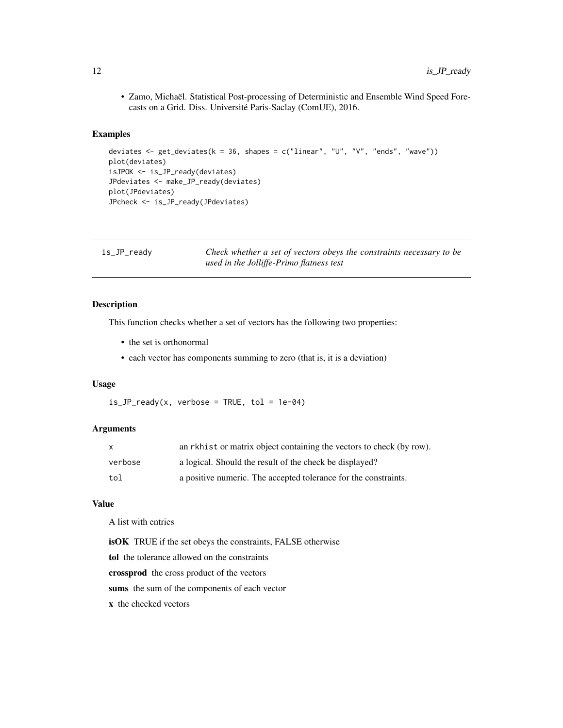<span id="page-11-0"></span>• Zamo, Michaël. Statistical Post-processing of Deterministic and Ensemble Wind Speed Forecasts on a Grid. Diss. Université Paris-Saclay (ComUE), 2016.

# Examples

```
deviates <- get_deviates(k = 36, shapes = c("linear", "U", "V", "ends", "wave"))
plot(deviates)
isJPOK <- is_JP_ready(deviates)
JPdeviates <- make_JP_ready(deviates)
plot(JPdeviates)
JPcheck <- is_JP_ready(JPdeviates)
```

| is_JP_ready | Check whether a set of vectors obeys the constraints necessary to be |
|-------------|----------------------------------------------------------------------|
|             | used in the Jolliffe-Primo flatness test                             |

# Description

This function checks whether a set of vectors has the following two properties:

- the set is orthonormal
- each vector has components summing to zero (that is, it is a deviation)

# Usage

 $is_JP_{\text{ready}}(x, \text{ verbose} = \text{TRUE}, \text{tol} = 1e-04)$ 

#### Arguments

| X       | an rkhist or matrix object containing the vectors to check (by row). |
|---------|----------------------------------------------------------------------|
| verbose | a logical. Should the result of the check be displayed?              |
| tol     | a positive numeric. The accepted tolerance for the constraints.      |

#### Value

A list with entries

isOK TRUE if the set obeys the constraints, FALSE otherwise

tol the tolerance allowed on the constraints

crossprod the cross product of the vectors

sums the sum of the components of each vector

x the checked vectors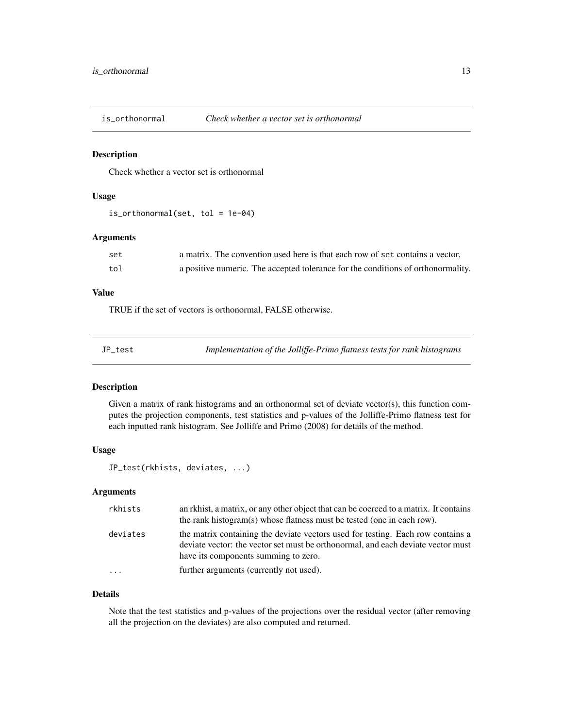<span id="page-12-0"></span>

Check whether a vector set is orthonormal

# Usage

is\_orthonormal(set, tol = 1e-04)

# Arguments

| set | a matrix. The convention used here is that each row of set contains a vector.    |
|-----|----------------------------------------------------------------------------------|
| tol | a positive numeric. The accepted tolerance for the conditions of orthonormality. |

# Value

TRUE if the set of vectors is orthonormal, FALSE otherwise.

| Implementation of the Jolliffe-Primo flatness tests for rank histograms<br>JP test |
|------------------------------------------------------------------------------------|
|------------------------------------------------------------------------------------|

# Description

Given a matrix of rank histograms and an orthonormal set of deviate vector(s), this function computes the projection components, test statistics and p-values of the Jolliffe-Primo flatness test for each inputted rank histogram. See Jolliffe and Primo (2008) for details of the method.

# Usage

```
JP_test(rkhists, deviates, ...)
```
# Arguments

| rkhists  | an rkhist, a matrix, or any other object that can be coerced to a matrix. It contains<br>the rank histogram(s) whose flatness must be tested (one in each row).                                             |
|----------|-------------------------------------------------------------------------------------------------------------------------------------------------------------------------------------------------------------|
| deviates | the matrix containing the deviate vectors used for testing. Each row contains a<br>deviate vector: the vector set must be orthonormal, and each deviate vector must<br>have its components summing to zero. |
| .        | further arguments (currently not used).                                                                                                                                                                     |

#### Details

Note that the test statistics and p-values of the projections over the residual vector (after removing all the projection on the deviates) are also computed and returned.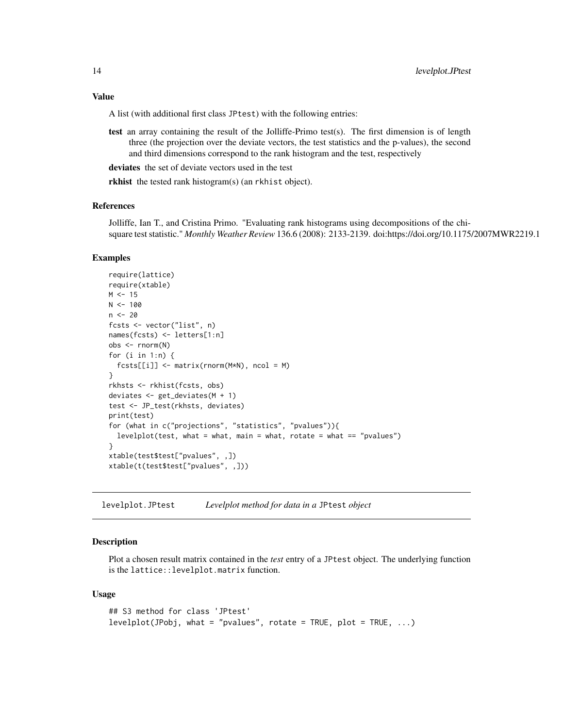#### <span id="page-13-0"></span>Value

A list (with additional first class JPtest) with the following entries:

test an array containing the result of the Jolliffe-Primo test(s). The first dimension is of length three (the projection over the deviate vectors, the test statistics and the p-values), the second and third dimensions correspond to the rank histogram and the test, respectively

deviates the set of deviate vectors used in the test

rkhist the tested rank histogram(s) (an rkhist object).

### References

Jolliffe, Ian T., and Cristina Primo. "Evaluating rank histograms using decompositions of the chisquare test statistic." *Monthly Weather Review* 136.6 (2008): 2133-2139. doi:https://doi.org/10.1175/2007MWR2219.1

#### Examples

```
require(lattice)
require(xtable)
M < - 15N < - 100n < -20fcsts <- vector("list", n)
names(fcsts) <- letters[1:n]
obs <- rnorm(N)
for (i in 1:n) {
  fcsts[[i]] <- matrix(rnorm(M*N), ncol = M)
}
rkhsts <- rkhist(fcsts, obs)
deviates <- get_deviates(M + 1)
test <- JP_test(rkhsts, deviates)
print(test)
for (what in c("projections", "statistics", "pvalues")){
  levelplot(test, what = what, main = what, rotate = what == "pvalues")}
xtable(test$test["pvalues", ,])
xtable(t(test$test["pvalues", ,]))
```
levelplot.JPtest *Levelplot method for data in a* JPtest *object*

#### Description

Plot a chosen result matrix contained in the *test* entry of a JPtest object. The underlying function is the lattice::levelplot.matrix function.

#### Usage

```
## S3 method for class 'JPtest'
levelplot(JPobj, what = "pvalues", rotate = TRUE, plot = TRUE, ...)
```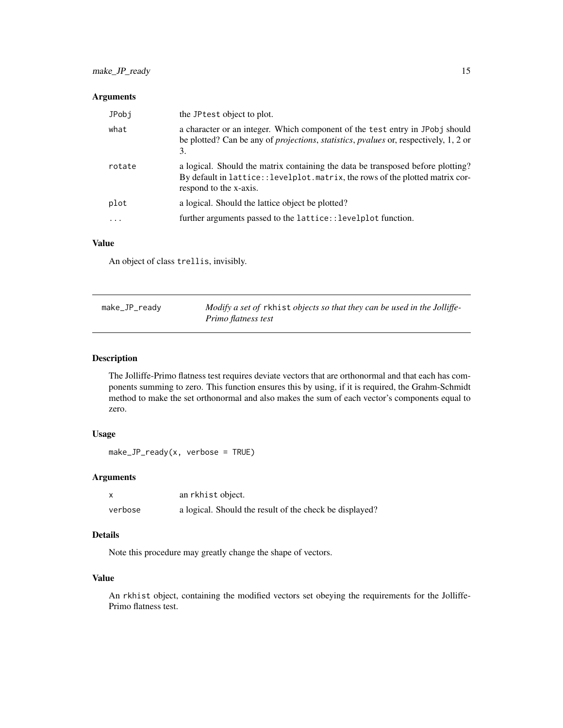# <span id="page-14-0"></span>Arguments

| JPobi  | the JP test object to plot.                                                                                                                                                                       |
|--------|---------------------------------------------------------------------------------------------------------------------------------------------------------------------------------------------------|
| what   | a character or an integer. Which component of the test entry in JPobj should<br>be plotted? Can be any of <i>projections</i> , <i>statistics</i> , <i>pvalues</i> or, respectively, 1, 2 or<br>3. |
| rotate | a logical. Should the matrix containing the data be transposed before plotting?<br>By default in lattice:: levelplot.matrix, the rows of the plotted matrix cor-<br>respond to the x-axis.        |
| plot   | a logical. Should the lattice object be plotted?                                                                                                                                                  |
| .      | further arguments passed to the lattice::levelplot function.                                                                                                                                      |

# Value

An object of class trellis, invisibly.

| make_JP_ready | Modify a set of rkhist objects so that they can be used in the Jolliffe- |
|---------------|--------------------------------------------------------------------------|
|               | Primo flatness test                                                      |

# Description

The Jolliffe-Primo flatness test requires deviate vectors that are orthonormal and that each has components summing to zero. This function ensures this by using, if it is required, the Grahm-Schmidt method to make the set orthonormal and also makes the sum of each vector's components equal to zero.

# Usage

```
make_JP_ready(x, verbose = TRUE)
```
# Arguments

| $\times$ | an rkhist object.                                       |
|----------|---------------------------------------------------------|
| verbose  | a logical. Should the result of the check be displayed? |

# Details

Note this procedure may greatly change the shape of vectors.

# Value

An rkhist object, containing the modified vectors set obeying the requirements for the Jolliffe-Primo flatness test.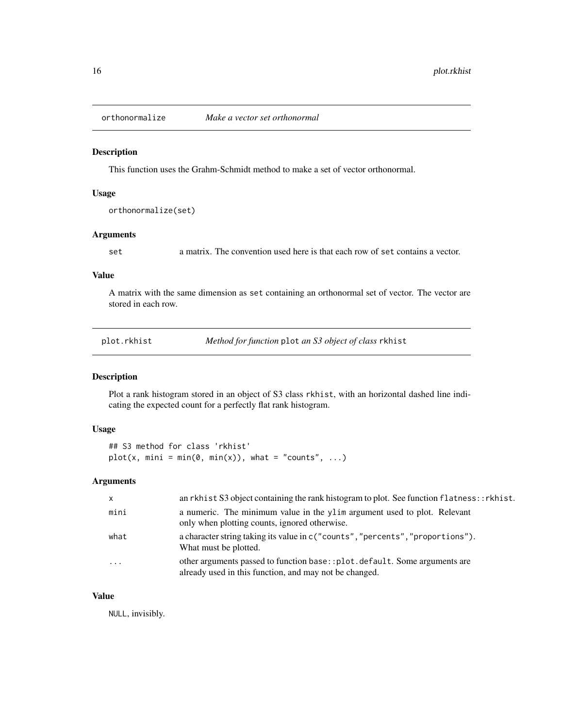<span id="page-15-0"></span>

This function uses the Grahm-Schmidt method to make a set of vector orthonormal.

# Usage

```
orthonormalize(set)
```
# Arguments

set a matrix. The convention used here is that each row of set contains a vector.

### Value

A matrix with the same dimension as set containing an orthonormal set of vector. The vector are stored in each row.

| plot.rkhist |  |  |  |
|-------------|--|--|--|
|             |  |  |  |
|             |  |  |  |

*Method for function* plot *an S3 object of class* rkhist

# Description

Plot a rank histogram stored in an object of S3 class rkhist, with an horizontal dashed line indicating the expected count for a perfectly flat rank histogram.

# Usage

```
## S3 method for class 'rkhist'
plot(x, min = min(\emptyset, min(x)), what = "counts", ...)
```
# Arguments

| $\mathsf{x}$            | an rkhist S3 object containing the rank histogram to plot. See function flatness::rkhist.                                           |
|-------------------------|-------------------------------------------------------------------------------------------------------------------------------------|
| mini                    | a numeric. The minimum value in the ylim argument used to plot. Relevant<br>only when plotting counts, ignored otherwise.           |
| what                    | a character string taking its value in c("counts", "percents", "proportions").<br>What must be plotted.                             |
| $\cdot$ $\cdot$ $\cdot$ | other arguments passed to function base::plot.default. Some arguments are<br>already used in this function, and may not be changed. |

# Value

NULL, invisibly.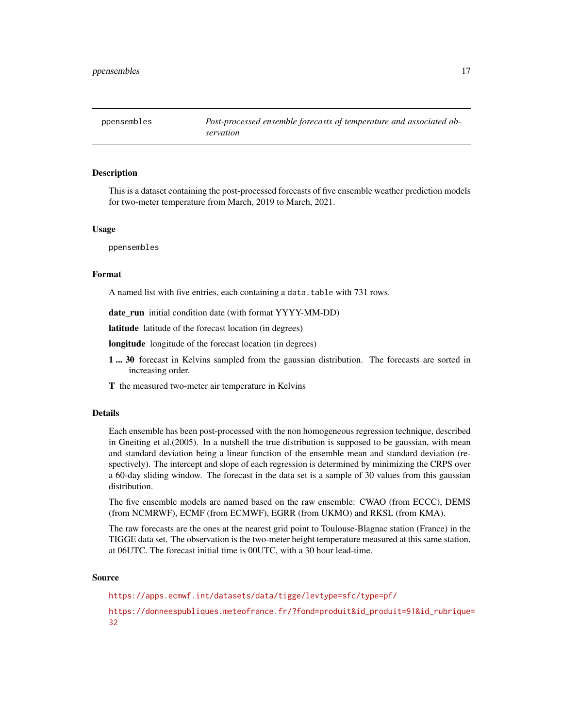<span id="page-16-0"></span>

This is a dataset containing the post-processed forecasts of five ensemble weather prediction models for two-meter temperature from March, 2019 to March, 2021.

#### Usage

ppensembles

#### Format

A named list with five entries, each containing a data.table with 731 rows.

date run initial condition date (with format YYYY-MM-DD)

latitude latitude of the forecast location (in degrees)

longitude longitude of the forecast location (in degrees)

- 1 ... 30 forecast in Kelvins sampled from the gaussian distribution. The forecasts are sorted in increasing order.
- T the measured two-meter air temperature in Kelvins

#### Details

Each ensemble has been post-processed with the non homogeneous regression technique, described in Gneiting et al.(2005). In a nutshell the true distribution is supposed to be gaussian, with mean and standard deviation being a linear function of the ensemble mean and standard deviation (respectively). The intercept and slope of each regression is determined by minimizing the CRPS over a 60-day sliding window. The forecast in the data set is a sample of 30 values from this gaussian distribution.

The five ensemble models are named based on the raw ensemble: CWAO (from ECCC), DEMS (from NCMRWF), ECMF (from ECMWF), EGRR (from UKMO) and RKSL (from KMA).

The raw forecasts are the ones at the nearest grid point to Toulouse-Blagnac station (France) in the TIGGE data set. The observation is the two-meter height temperature measured at this same station, at 06UTC. The forecast initial time is 00UTC, with a 30 hour lead-time.

#### Source

<https://apps.ecmwf.int/datasets/data/tigge/levtype=sfc/type=pf/>

[https://donneespubliques.meteofrance.fr/?fond=produit&id\\_produit=91&id\\_rubrique=](https://donneespubliques.meteofrance.fr/?fond=produit&id_produit=91&id_rubrique=32) [32](https://donneespubliques.meteofrance.fr/?fond=produit&id_produit=91&id_rubrique=32)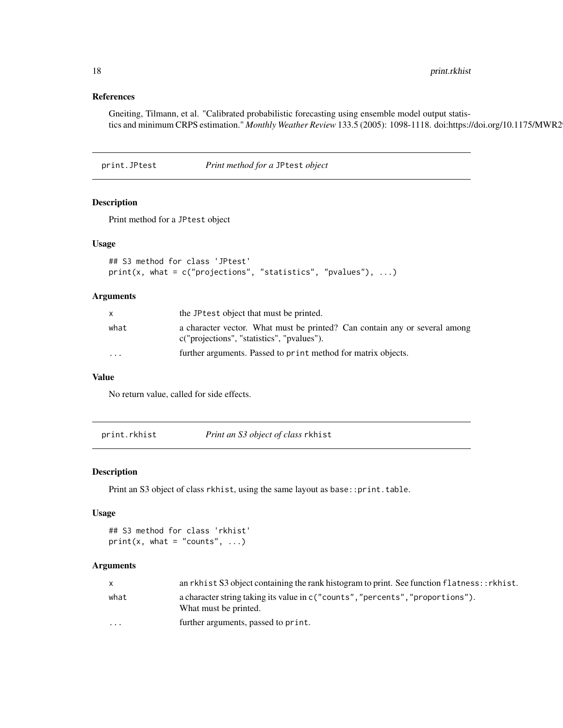<span id="page-17-0"></span>18 print.rkhist

# References

Gneiting, Tilmann, et al. "Calibrated probabilistic forecasting using ensemble model output statistics and minimum CRPS estimation." Monthly Weather Review 133.5 (2005): 1098-1118. doi:https://doi.org/10.1175/MWR2

print.JPtest *Print method for a* JPtest *object*

# Description

Print method for a JPtest object

# Usage

```
## S3 method for class 'JPtest'
print(x, what = c("projections", "statistics", "pvalues"), ...)
```
#### Arguments

| X        | the JP test object that must be printed.                                                                                 |
|----------|--------------------------------------------------------------------------------------------------------------------------|
| what     | a character vector. What must be printed? Can contain any or several among<br>c("projections", "statistics", "pyalues"). |
| $\cdots$ | further arguments. Passed to print method for matrix objects.                                                            |

# Value

No return value, called for side effects.

print.rkhist *Print an S3 object of class* rkhist

#### Description

Print an S3 object of class rkhist, using the same layout as base:: print.table.

# Usage

```
## S3 method for class 'rkhist'
print(x, what = "counts", ...)
```
# Arguments

|          | an rkhist S3 object containing the rank histogram to print. See function $flatness::rkhist.$             |
|----------|----------------------------------------------------------------------------------------------------------|
| what     | a character string taking its value in c ("counts", "percents", "proportions").<br>What must be printed. |
| $\cdots$ | further arguments, passed to print.                                                                      |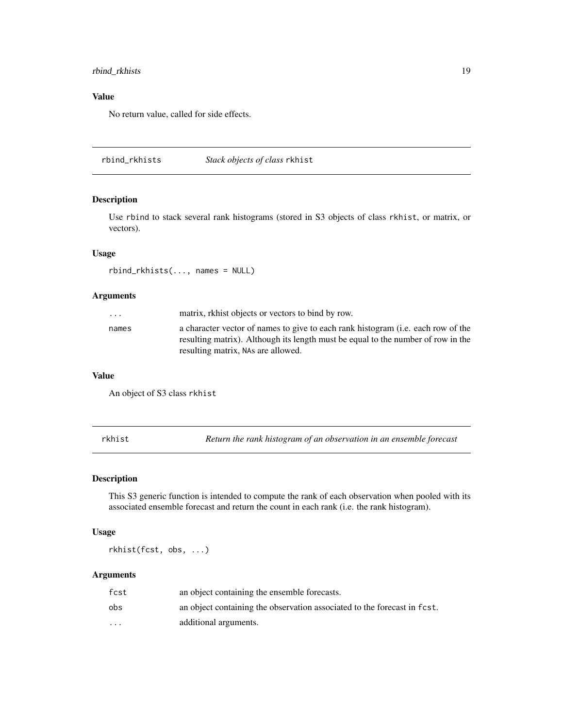# <span id="page-18-0"></span>rbind\_rkhists 19

# Value

No return value, called for side effects.

rbind\_rkhists *Stack objects of class* rkhist

# Description

Use rbind to stack several rank histograms (stored in S3 objects of class rkhist, or matrix, or vectors).

# Usage

rbind\_rkhists(..., names = NULL)

# Arguments

| matrix, rkhist objects or vectors to bind by row.<br>$\cdot$ $\cdot$ $\cdot$                                                                                                                                        |  |
|---------------------------------------------------------------------------------------------------------------------------------------------------------------------------------------------------------------------|--|
| a character vector of names to give to each rank histogram (i.e. each row of the<br>names<br>resulting matrix). Although its length must be equal to the number of row in the<br>resulting matrix, NAs are allowed. |  |

# Value

An object of S3 class rkhist

rkhist *Return the rank histogram of an observation in an ensemble forecast*

# Description

This S3 generic function is intended to compute the rank of each observation when pooled with its associated ensemble forecast and return the count in each rank (i.e. the rank histogram).

# Usage

rkhist(fcst, obs, ...)

#### Arguments

| fcst                    | an object containing the ensemble forecasts.                             |
|-------------------------|--------------------------------------------------------------------------|
| obs                     | an object containing the observation associated to the forecast in fest. |
| $\cdot$ $\cdot$ $\cdot$ | additional arguments.                                                    |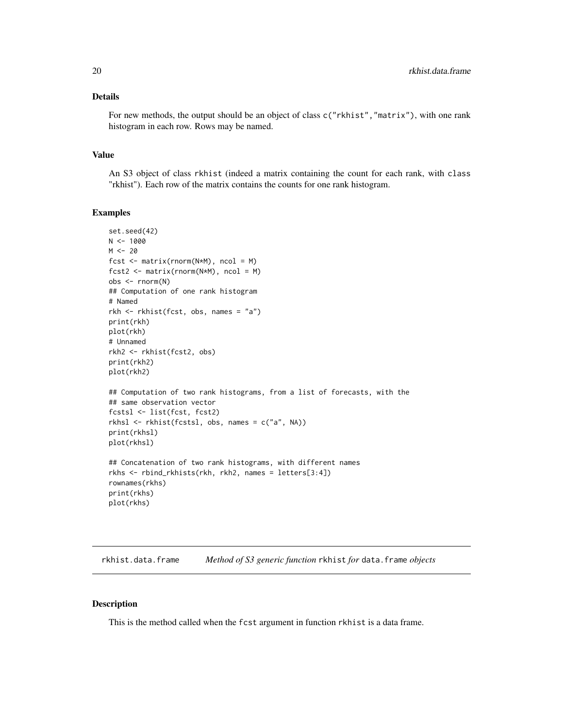# <span id="page-19-0"></span>Details

For new methods, the output should be an object of class c("rkhist","matrix"), with one rank histogram in each row. Rows may be named.

#### Value

An S3 object of class rkhist (indeed a matrix containing the count for each rank, with class "rkhist"). Each row of the matrix contains the counts for one rank histogram.

#### Examples

```
set.seed(42)
N < - 1000M < -20fcst \leq matrix(rnorm(N*M), ncol = M)
fcst2 \le matrix(rnorm(N*M), ncol = M)
obs <- rnorm(N)
## Computation of one rank histogram
# Named
rkh <- rkhist(fcst, obs, names = "a")
print(rkh)
plot(rkh)
# Unnamed
rkh2 <- rkhist(fcst2, obs)
print(rkh2)
plot(rkh2)
## Computation of two rank histograms, from a list of forecasts, with the
## same observation vector
fcstsl <- list(fcst, fcst2)
rkhsl <- rkhist(fcstsl, obs, names = c("a", NA))
print(rkhsl)
plot(rkhsl)
## Concatenation of two rank histograms, with different names
rkhs <- rbind_rkhists(rkh, rkh2, names = letters[3:4])
rownames(rkhs)
print(rkhs)
plot(rkhs)
```
rkhist.data.frame *Method of S3 generic function* rkhist *for* data.frame *objects*

#### Description

This is the method called when the fcst argument in function rkhist is a data frame.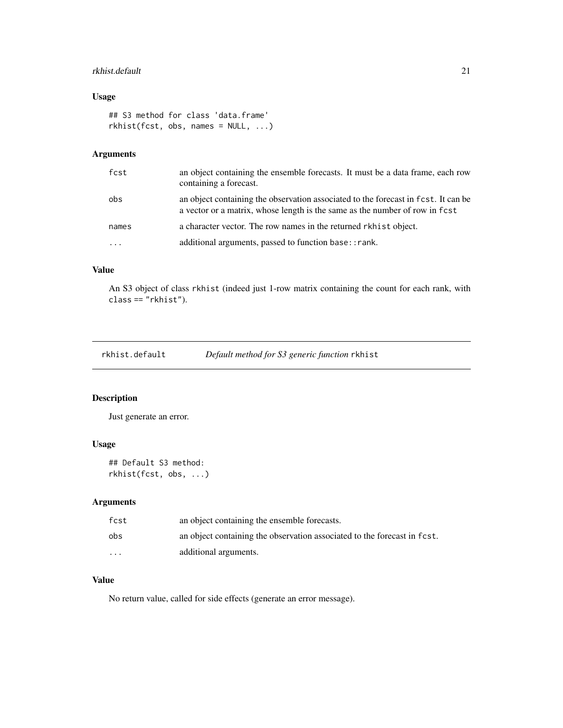# <span id="page-20-0"></span>rkhist.default 21

# Usage

```
## S3 method for class 'data.frame'
rkhist(fcst, obs, names = NULL, ...)
```
# Arguments

| fcst  | an object containing the ensemble forecasts. It must be a data frame, each row<br>containing a forecast.                                                          |
|-------|-------------------------------------------------------------------------------------------------------------------------------------------------------------------|
| obs   | an object containing the observation associated to the forecast in fest. It can be<br>a vector or a matrix, whose length is the same as the number of row in fest |
| names | a character vector. The row names in the returned rkhist object.                                                                                                  |
|       | additional arguments, passed to function base:: rank.                                                                                                             |

# Value

An S3 object of class rkhist (indeed just 1-row matrix containing the count for each rank, with class == "rkhist").

| rkhist.default |  |  | Default method for S3 generic function rkhist |
|----------------|--|--|-----------------------------------------------|
|----------------|--|--|-----------------------------------------------|

# Description

Just generate an error.

# Usage

```
## Default S3 method:
rkhist(fcst, obs, ...)
```
# Arguments

| fcst     | an object containing the ensemble forecasts.                             |
|----------|--------------------------------------------------------------------------|
| obs      | an object containing the observation associated to the forecast in fcst. |
| $\cdots$ | additional arguments.                                                    |

# Value

No return value, called for side effects (generate an error message).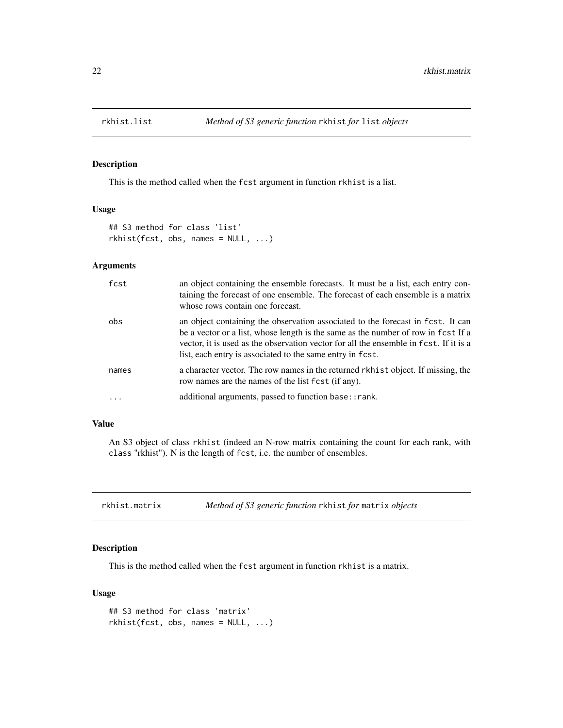<span id="page-21-0"></span>

This is the method called when the fcst argument in function rkhist is a list.

#### Usage

```
## S3 method for class 'list'
rkhist(fcst, obs, names = NULL, ...)
```
# Arguments

| fcst  | an object containing the ensemble forecasts. It must be a list, each entry con-<br>taining the forecast of one ensemble. The forecast of each ensemble is a matrix<br>whose rows contain one forecast.                                                                                                                     |
|-------|----------------------------------------------------------------------------------------------------------------------------------------------------------------------------------------------------------------------------------------------------------------------------------------------------------------------------|
| obs   | an object containing the observation associated to the forecast in fcst. It can<br>be a vector or a list, whose length is the same as the number of row in fcst If a<br>vector, it is used as the observation vector for all the ensemble in fcst. If it is a<br>list, each entry is associated to the same entry in fest. |
| names | a character vector. The row names in the returned rkhist object. If missing, the<br>row names are the names of the list fcst (if any).                                                                                                                                                                                     |
|       | additional arguments, passed to function base:: rank.                                                                                                                                                                                                                                                                      |

# Value

An S3 object of class rkhist (indeed an N-row matrix containing the count for each rank, with class "rkhist"). N is the length of fcst, i.e. the number of ensembles.

rkhist.matrix *Method of S3 generic function* rkhist *for* matrix *objects*

# Description

This is the method called when the fcst argument in function rkhist is a matrix.

# Usage

```
## S3 method for class 'matrix'
rkhist(fcst, obs, names = NULL, ...)
```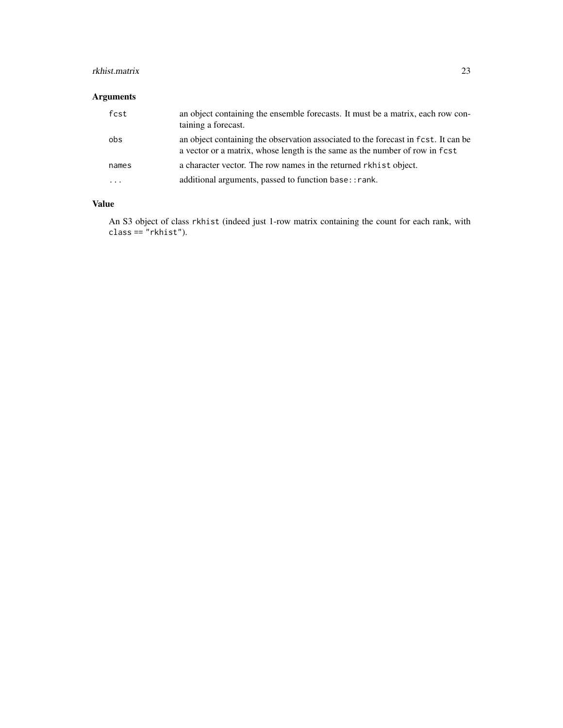# rkhist.matrix 23

# Arguments

| fcst  | an object containing the ensemble forecasts. It must be a matrix, each row con-<br>taining a forecast.                                                            |
|-------|-------------------------------------------------------------------------------------------------------------------------------------------------------------------|
| obs   | an object containing the observation associated to the forecast in fest. It can be<br>a vector or a matrix, whose length is the same as the number of row in fcst |
| names | a character vector. The row names in the returned rkhist object.                                                                                                  |
| .     | additional arguments, passed to function base:: rank.                                                                                                             |

# Value

An S3 object of class rkhist (indeed just 1-row matrix containing the count for each rank, with  $class == "rkhist").$